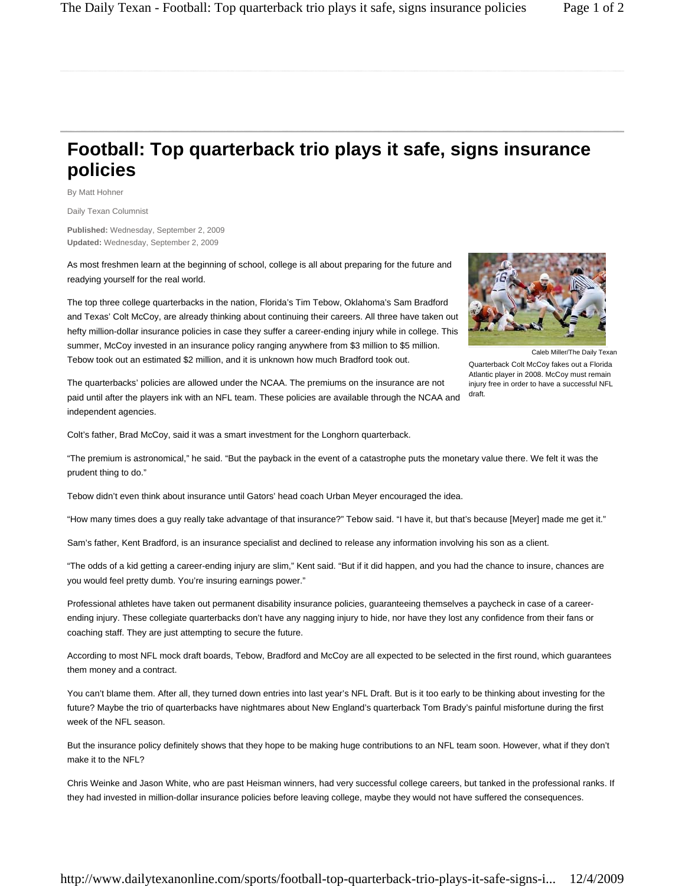## **Football: Top quarterback trio plays it safe, signs insurance policies**

By Matt Hohner

Daily Texan Columnist

**Published:** Wednesday, September 2, 2009 **Updated:** Wednesday, September 2, 2009

As most freshmen learn at the beginning of school, college is all about preparing for the future and readying yourself for the real world.

The top three college quarterbacks in the nation, Florida's Tim Tebow, Oklahoma's Sam Bradford and Texas' Colt McCoy, are already thinking about continuing their careers. All three have taken out hefty million-dollar insurance policies in case they suffer a career-ending injury while in college. This summer, McCoy invested in an insurance policy ranging anywhere from \$3 million to \$5 million. Tebow took out an estimated \$2 million, and it is unknown how much Bradford took out.



Caleb Miller/The Daily Texan

Quarterback Colt McCoy fakes out a Florida Atlantic player in 2008. McCoy must remain injury free in order to have a successful NFL draft.

The quarterbacks' policies are allowed under the NCAA. The premiums on the insurance are not paid until after the players ink with an NFL team. These policies are available through the NCAA and independent agencies.

Colt's father, Brad McCoy, said it was a smart investment for the Longhorn quarterback.

"The premium is astronomical," he said. "But the payback in the event of a catastrophe puts the monetary value there. We felt it was the prudent thing to do."

Tebow didn't even think about insurance until Gators' head coach Urban Meyer encouraged the idea.

"How many times does a guy really take advantage of that insurance?" Tebow said. "I have it, but that's because [Meyer] made me get it."

Sam's father, Kent Bradford, is an insurance specialist and declined to release any information involving his son as a client.

"The odds of a kid getting a career-ending injury are slim," Kent said. "But if it did happen, and you had the chance to insure, chances are you would feel pretty dumb. You're insuring earnings power."

Professional athletes have taken out permanent disability insurance policies, guaranteeing themselves a paycheck in case of a careerending injury. These collegiate quarterbacks don't have any nagging injury to hide, nor have they lost any confidence from their fans or coaching staff. They are just attempting to secure the future.

According to most NFL mock draft boards, Tebow, Bradford and McCoy are all expected to be selected in the first round, which guarantees them money and a contract.

You can't blame them. After all, they turned down entries into last year's NFL Draft. But is it too early to be thinking about investing for the future? Maybe the trio of quarterbacks have nightmares about New England's quarterback Tom Brady's painful misfortune during the first week of the NFL season.

But the insurance policy definitely shows that they hope to be making huge contributions to an NFL team soon. However, what if they don't make it to the NFL?

Chris Weinke and Jason White, who are past Heisman winners, had very successful college careers, but tanked in the professional ranks. If they had invested in million-dollar insurance policies before leaving college, maybe they would not have suffered the consequences.